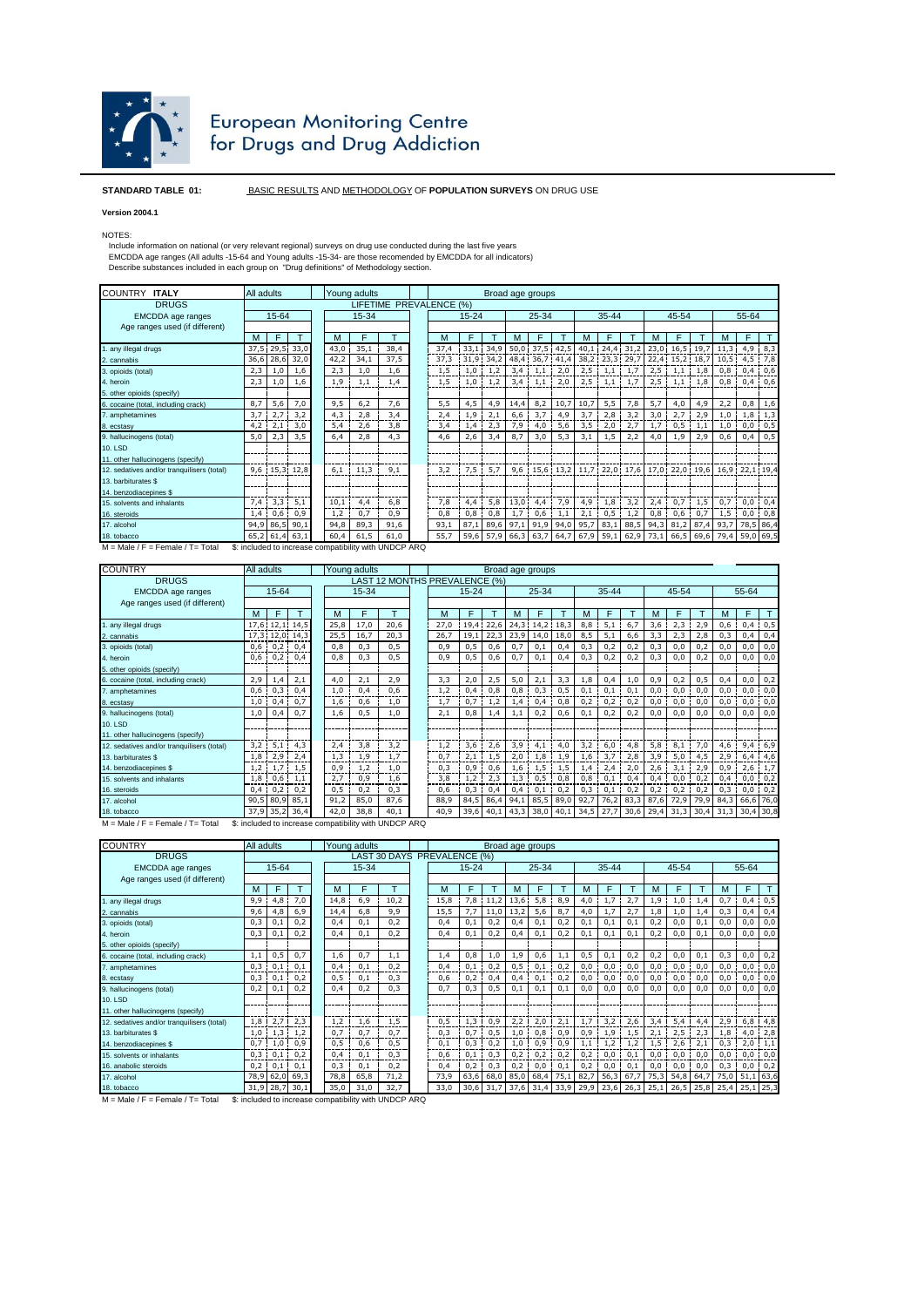

## European Monitoring Centre<br>for Drugs and Drug Addiction

## **STANDARD TABLE 01:** BASIC RESULTS AND METHODOLOGY OF **POPULATION SURVEYS** ON DRUG USE

## **Version 2004.1**

NOTES:

Include information on national (or very relevant regional) surveys on drug use conducted during the last five years<br>EMCDDA age ranges (All adults -15-64 and Young adults -15-34- are those recomended by EMCDDA for all indi

| All adults<br>Young adults |     |                                                                                                        |                                 |                                                           |       | Broad age groups                                              |      |      |                                                                   |              |                           |                                                                     |      |                         |              |                                                       |     |                                                                                    |              |                                                                                    |
|----------------------------|-----|--------------------------------------------------------------------------------------------------------|---------------------------------|-----------------------------------------------------------|-------|---------------------------------------------------------------|------|------|-------------------------------------------------------------------|--------------|---------------------------|---------------------------------------------------------------------|------|-------------------------|--------------|-------------------------------------------------------|-----|------------------------------------------------------------------------------------|--------------|------------------------------------------------------------------------------------|
| LIFETIME PREVALENCE (%)    |     |                                                                                                        |                                 |                                                           |       |                                                               |      |      |                                                                   |              |                           |                                                                     |      |                         |              |                                                       |     |                                                                                    |              |                                                                                    |
|                            |     |                                                                                                        |                                 |                                                           |       |                                                               |      |      |                                                                   |              |                           |                                                                     |      |                         |              |                                                       |     |                                                                                    |              |                                                                                    |
|                            |     |                                                                                                        |                                 |                                                           |       |                                                               |      |      |                                                                   |              |                           |                                                                     |      |                         |              |                                                       |     |                                                                                    |              |                                                                                    |
| F                          |     | м                                                                                                      | F                               |                                                           |       | м                                                             |      |      | м                                                                 | F            |                           |                                                                     |      |                         |              |                                                       |     |                                                                                    |              |                                                                                    |
|                            |     |                                                                                                        | 35,1                            | 38.4                                                      |       | 37.4                                                          |      | 34.9 |                                                                   |              |                           |                                                                     |      |                         |              |                                                       |     | 11,3                                                                               | 4,9          | 8,3                                                                                |
| 36,6                       |     |                                                                                                        | 34,1                            | 37,5                                                      |       |                                                               |      |      |                                                                   |              |                           |                                                                     |      |                         |              |                                                       |     |                                                                                    | 4,5          | 7,8                                                                                |
| 1,0                        | 1,6 |                                                                                                        | 1,0                             | 1,6                                                       |       | 1,5                                                           | 1,0  | 1,2  | 3,4                                                               |              | 2,0                       | 2,5                                                                 | 1,1  |                         | 2,5          | 1,1                                                   | 1.8 | 0,8                                                                                | 0,4          | 0,6                                                                                |
| 1,0                        | 1,6 |                                                                                                        | 1,1                             | 1,4                                                       |       | 1,5                                                           |      | 1,2  | 3,4                                                               | 1,1          | 2,0                       |                                                                     |      | 1,7                     |              |                                                       |     |                                                                                    | 0,4          | 0,6                                                                                |
|                            |     |                                                                                                        |                                 |                                                           |       |                                                               |      |      |                                                                   |              |                           |                                                                     |      |                         |              |                                                       |     |                                                                                    |              |                                                                                    |
| 5,6                        | 7,0 |                                                                                                        | 6,2                             | 7,6                                                       |       | 5,5                                                           | 4,5  | 4,9  | 14.4                                                              | 8,2          | 10.7                      | 10,7                                                                | 5,5  | 7,8                     | 5,7          | 4,0                                                   | 4,9 | 2,2                                                                                | 0,8          | 1,6                                                                                |
| 2,7                        | 3.2 |                                                                                                        | 2.8                             | 3.4                                                       |       | 2,4                                                           | 1.9  | 2,1  | 6,6                                                               | 3,7          | 4.9                       | 3.7                                                                 | 2,8  | 3.2                     | 3,0          | 2,7                                                   | 2,9 | 1,0                                                                                | 1,8          | 1,3                                                                                |
| 2,1                        | 3,0 |                                                                                                        | 2,6                             | 3,8                                                       |       | 3,4                                                           | 1,4  | 2,3  | 7,9                                                               | 4,0          | 5,6                       | 3,5                                                                 | 2,0  | 2,7                     | 1,7          |                                                       | 1,1 | 1,0                                                                                | 0,0          | 0,5                                                                                |
| 2,3                        | 3,5 |                                                                                                        | 2,8                             | 4,3                                                       |       | 4,6                                                           | 2,6  | 3,4  | 8,7                                                               | 3,0          | 5,3                       | 3,1                                                                 | 1,5  | 2,2                     | 4,0          | 1,9                                                   | 2,9 | 0,6                                                                                | 0,4          | 0,5                                                                                |
|                            |     |                                                                                                        |                                 |                                                           |       |                                                               |      |      |                                                                   |              |                           |                                                                     |      |                         |              |                                                       |     |                                                                                    |              |                                                                                    |
|                            |     |                                                                                                        |                                 |                                                           |       |                                                               |      |      |                                                                   |              |                           |                                                                     |      |                         |              |                                                       |     |                                                                                    |              |                                                                                    |
|                            |     |                                                                                                        | 11,3                            | 9,1                                                       |       | 3,2                                                           |      | 5.7  |                                                                   |              |                           |                                                                     |      |                         |              |                                                       |     |                                                                                    |              |                                                                                    |
|                            |     |                                                                                                        |                                 |                                                           |       |                                                               |      |      |                                                                   |              |                           |                                                                     |      |                         |              |                                                       |     |                                                                                    |              |                                                                                    |
|                            |     |                                                                                                        |                                 |                                                           |       |                                                               |      |      |                                                                   |              |                           |                                                                     |      |                         |              |                                                       |     |                                                                                    |              |                                                                                    |
| 3.3                        | 5.1 |                                                                                                        | 4.4                             | 6.8                                                       |       | 7.8                                                           | 4.4  | 5.8  |                                                                   | 4,4          |                           | 4.9                                                                 | 1.8  | 3.2                     | 2.4          | 0.7                                                   | 1,5 | 0.7                                                                                | 0.0          | 0,4                                                                                |
|                            |     |                                                                                                        | 0.7                             | 0,9                                                       |       | 0,8                                                           | 0,8  | 0,8  | 1.7                                                               | 0,6          | 1,1                       | 2,1                                                                 | 0,5  | 1,2                     | 0.8          | 0.6                                                   | 0.7 | 1,5                                                                                | 0,0          | 0,8                                                                                |
|                            |     |                                                                                                        | 89,3                            | 91,6                                                      |       | 93,1                                                          | 87.1 | 89,6 |                                                                   |              |                           | 95,7                                                                |      |                         |              |                                                       |     | 93,7                                                                               |              | 78,5 86,4                                                                          |
|                            |     |                                                                                                        | 61.5                            | 61,0                                                      |       | 55,7                                                          |      |      |                                                                   |              | 64,7                      |                                                                     | 59,1 |                         |              |                                                       |     | 79,4                                                                               |              | 59,0 69,5                                                                          |
|                            |     | 15-64<br>37,5 29,5 33,0<br>28,6 32,0<br>9,6 15,3 12,8<br>$0,6$ 0,9<br>94,9 86,5 90,1<br>65,2 61,4 63,1 | 2,3<br>9,5<br>4,3<br>6.1<br>1,2 | 43,0<br>42,2<br>1,9<br>5,4<br>6,4<br>10.1<br>94,8<br>60,4 | 15-34 | <b>C</b> : included to increase compatibility with LINDCD ARO |      |      | $15 - 24$<br>33.1<br>37,3 31,9 34,2<br>$1.0 \cdot$<br>7,5<br>59,6 | 97,1<br>57,9 | 50.0<br>13.0<br>66,3 63,7 | 25-34<br>$37,5$ 42,5<br>48,4 36,7 41,4<br>1,1<br>, 7,9<br>91,9 94,0 |      | $2,5 -$<br>83,1<br>67,9 | 35-44<br>1,1 | 40,1 24,4 31,2<br>38,2 23,3 29,7<br>88,5<br>62,9 73,1 | 2,5 | 45-54<br>23,0 16,5 19,7<br>22,4 15,2 18,7<br>$1,1$ 1,8<br>0,5<br>94,3 81,2<br>66,5 | 87,4<br>69,6 | 55-64<br>10.5<br>0,8<br>9,6 15,6 13,2 11,7 22,0 17,6 17,0 22,0 19,6 16,9 22,1 19,4 |

 $M = Male / F = Female / T = Total$  \$: included to increase compatibility with UNDCP ARQ

| <b>COUNTRY</b>                             | All adults<br>Young adults |                               |                |       |      | Broad age groups |      |  |           |      |      |                |                |      |           |      |                |       |           |      |         |                     |     |
|--------------------------------------------|----------------------------|-------------------------------|----------------|-------|------|------------------|------|--|-----------|------|------|----------------|----------------|------|-----------|------|----------------|-------|-----------|------|---------|---------------------|-----|
| <b>DRUGS</b>                               |                            | LAST 12 MONTHS PREVALENCE (%) |                |       |      |                  |      |  |           |      |      |                |                |      |           |      |                |       |           |      |         |                     |     |
| <b>EMCDDA</b> age ranges                   |                            | 15-64                         |                | 15-34 |      |                  |      |  | $15 - 24$ |      |      | 25-34          |                |      | $35 - 44$ |      |                | 45-54 |           |      |         | 55-64               |     |
| Age ranges used (if different)             |                            |                               |                |       |      |                  |      |  |           |      |      |                |                |      |           |      |                |       |           |      |         |                     |     |
|                                            | м                          |                               |                |       | м    | F                |      |  | м         |      |      | м              | F              |      | м         | F    |                | м     |           |      | м       | F                   |     |
| 1. any illegal drugs                       |                            |                               | 17,6 12,1 14,5 |       | 25,8 | 17,0             | 20,6 |  | 27,0      | 19,4 | 22,6 |                | 24,3 14,2 18,3 |      | 8,8       | 5,1  | 6,7            | 3,6   | 2,3       | 2,9  | 0,6     | 0,4                 | 0,5 |
| 2. cannabis                                |                            |                               | 17,3 12,0 14,3 |       | 25,5 | 16,7             | 20,3 |  | 26,7      | 19,1 | 22,3 | 23,9           | 14,0           | 18,0 | 8,5       | 5,1  | 6,6            | 3,3   | 2,3       | 2,8  | 0,3     | 0,4                 | 0,4 |
| 3. opioids (total)                         |                            | $0,6$ 0,2 0,4                 |                |       | 0,8  | 0,3              | 0,5  |  | 0,9       | 0,5  | 0,6  | 0.7            | 0,1            | 0,4  | 0,3       | 0,2  | 0,2            | 0,3   | 0.0       | 0,2  | 0,0     | 0,0                 | 0,0 |
| 4. heroin                                  |                            | $0,6$ 0,2 0,4                 |                |       | 0,8  | 0,3              | 0,5  |  | 0,9       | 0,5  | 0,6  | 0.7            | 0,1            | 0.4  | 0,3       | 0,2  | 0,2            | 0,3   | 0,0       | 0,2  | 0,0     | 0,0                 | 0,0 |
| 5. other opioids (specify)                 |                            |                               |                |       |      |                  |      |  |           |      |      |                |                |      |           |      |                |       |           |      |         |                     |     |
| 6. cocaine (total, including crack)        | 2,9                        | 1,4                           | 2,1            |       | 4,0  | 2,1              | 2,9  |  | 3,3       | 2,0  | 2,5  | 5,0            | 2,1            | 3,3  | 1,8       | 0,4  | 1,0            | 0,9   | 0,2       | 0,5  | 0,4     | 0,0                 | 0,2 |
| 7. amphetamines                            | 0.6                        | 0,3                           | 0.4            |       | 1,0  | 0.4              | 0.6  |  | 1,2       | 0.4  | 0.8  | 0.8            | 0.3            | 0.5  | 0.1       | 0.1  | 0.1            | 0.0   | 0.0       | 0.0  | $0.0$ ! | 0,0                 | 0,0 |
| 8. ecstasy                                 | 1,0                        | 0,4                           | 0,7            |       | 1,6  | 0,6              | 1,0  |  | 1,7       | 0.7  | 1,2  | 1,4            | 0,4            | 0,8  | 0,2       | 0,2  | 0,2            | 0,0   | 0.0       | 0,0  | 0,0     | 0,0                 | 0,0 |
| 9. hallucinogens (total)                   | 1,0                        | 0.4                           | 0.7            |       | 1,6  | 0,5              | 1,0  |  | 2,1       | 0,8  | 1,4  | 1.1            | 0,2            | 0,6  | 0,1       | 0,2  | 0,2            | 0,0   | 0,0       | 0,0  | 0,0     | 0,0                 | 0,0 |
| 10. LSD                                    |                            |                               |                |       |      |                  |      |  |           |      |      |                |                |      |           |      |                |       |           |      |         |                     |     |
| 11. other hallucinogens (specify)          |                            |                               |                |       |      |                  |      |  |           |      |      |                |                |      |           |      |                |       |           |      |         |                     |     |
| 12. sedatives and/or tranquilisers (total) | 3,2                        |                               | $5,1$ 4,3      |       | 2,4  | 3.8              | 3,2  |  | 1.2       | 3,6  | 2,6  | 3,9            | 4.1            | 4,0  | 3.2       | 6.0  | 4.8            | 5,8   | 8.1       | 7,0  |         | $4,6$ 9,4           | 6,9 |
| 13. barbiturates \$                        |                            | $1,8$ 2,9 2,4                 |                |       | 1.3  | 1.9              | 1.7  |  | 0.7       | 2.1  | 1.5  | 2.0            | 1.8            | 1,9  | 1.6       | 3.7  | 2.8            | 3.9   | 5,0       | 4.5  | 2,9     | 6.4                 | 4,6 |
| 14. benzodiacepines \$                     | 1,2                        |                               | $1,7$ 1.5      |       | 0,9  | 1,2              | 1.0  |  | 0,3       | 0,9  | 0,6  | 1.6            | 1,5            | 1,5  | 1,4       | 2,4  | 2,0            | 2,6   | 3,1       | 2,9  |         | $0,9$ 2,6           | 1,7 |
| 15, solvents and inhalants                 | 1,8                        |                               | $0,6$ 1.1      |       | 2,7  | 0.9              | 1,6  |  | 3,8       | 1,2  | 2,3  | 1,3            | 0,5            | 0,8  | 0,8       | 0,1  | 0,4            | 0,4   | $0,0$ 0.2 |      | 0,4     | 0,0                 | 0,2 |
| 16. steroids                               | 0.4                        | 0,2                           | 0,2            |       | 0,5  | 0.2              | 0,3  |  | 0,6       | 0,3  | 0,4  | 0,4            | 0,1            | 0,2  | 0,3       | 0,1  | 0,2            | 0,2   | 0.2       | 0,2  | 0,3     | 0,0                 | 0,2 |
| 17. alcohol                                |                            |                               | 90,5 80,9 85,1 |       | 91,2 | 85,0             | 87,6 |  | 88,9      | 84,5 | 86,4 | 94,1           | 85,5           | 89,0 | 92,7      | 76,2 | 83,3           | 87,6  | 72,9      | 79,9 | 84,3    | 66,6 76,0           |     |
| 18. tobacco                                |                            |                               | 37,9 35,2 36,4 |       | 42,0 | 38,8             | 40,1 |  | 40,9      | 39,6 | 40,1 | 43,3 38,0 40,1 |                |      | 34,5 27,7 |      | 30,6 29,4 31,3 |       |           |      |         | 30,4 31,3 30,4 30,8 |     |

M = Male / F = Female / T= Total \$: included to increase compatibility with UNDCP ARQ

| <b>COUNTRY</b>                             |      | All adults                  |      |  |                                                                           | Young adults<br>Broad age groups |      |  |           |      |            |         |      |      |           |         |      |                |       |      |       |      |             |
|--------------------------------------------|------|-----------------------------|------|--|---------------------------------------------------------------------------|----------------------------------|------|--|-----------|------|------------|---------|------|------|-----------|---------|------|----------------|-------|------|-------|------|-------------|
| <b>DRUGS</b>                               |      | LAST 30 DAYS PREVALENCE (%) |      |  |                                                                           |                                  |      |  |           |      |            |         |      |      |           |         |      |                |       |      |       |      |             |
| <b>EMCDDA</b> age ranges                   |      | 15-64                       |      |  |                                                                           | 15-34                            |      |  | $15 - 24$ |      |            | 25-34   |      |      | $35 - 44$ |         |      | 45-54          |       |      | 55-64 |      |             |
| Age ranges used (if different)             |      |                             |      |  |                                                                           |                                  |      |  |           |      |            |         |      |      |           |         |      |                |       |      |       |      |             |
|                                            | м    |                             |      |  | м                                                                         | F                                |      |  | М         |      |            | м       |      |      | м         | F       |      | м              | Е     |      |       |      |             |
| 1. any illegal drugs                       | 9,9  | 4,8                         | 7,0  |  | 14,8                                                                      | 6,9                              | 10,2 |  | 15,8      |      | $7,8$ 11,2 | 13,6    | 5,8  | 8,9  | 4,0       | 1,7     | 2.7  | 1,9            | 1,0   | 1.4  | 0.7   | 0,4  | 10,5        |
| 2. cannabis                                | 9,6  | 4.8                         | 6,9  |  | 14,4                                                                      | 6.8                              | 9,9  |  | 15,5      | 7.7  | 11,0       | 13.2    | 5,6  | 8,7  | 4,0       | 1,7     | 2,7  | 1,8            | 1,0   | 1,4  | 0,3   | 0,4  | 0,4         |
| 3. opioids (total)                         | 0,3  | 0.1                         | 0,2  |  | 0,4                                                                       | 0,1                              | 0,2  |  | 0,4       | 0,1  | 0,2        | 0,4     | 0,1  | 0,2  | 0,1       | 0,1     | 0,1  | 0,2            | 0,0   | 0,1  | 0,0   | 0,0  | 0,0         |
| 4. heroin                                  | 0,3  | 0,1                         | 0,2  |  | 0,4                                                                       | 0,1                              | 0,2  |  | 0,4       | 0,1  | 0,2        | 0,4     | 0.1  | 0.2  | 0,1       | 0,1     | 0.1  | 0,2            | 0,0   | 0,1  | 0,0   | 0,0  | 0,0         |
| 5. other opioids (specify)                 |      |                             |      |  |                                                                           |                                  |      |  |           |      |            |         |      |      |           |         |      |                |       |      |       |      |             |
| 6. cocaine (total, including crack)        | 1,1  | 0,5                         | 0,7  |  | 1,6                                                                       | 0,7                              | 1,1  |  | 1,4       | 0,8  | 1,0        | 1,9     | 0,6  | 1,1  | 0,5       | 0,1     | 0,2  | 0,2            | 0,0   | 0,1  | 0,3   | 0,0  | 0,2         |
| 7. amphetamines                            | 0,3  | 0.1                         | 0.1  |  | 0,4                                                                       | 0,1                              | 0,2  |  | 0,4       | 0.1  | 0.2        | 0.5     | 0.1  | 0.2  | 0.0       | 0.0     | 0.0  | 0.0            | 0.0   | 0.0  | 0.0   | 0,0  | 0,0         |
| 8. ecstasy                                 | 0,3  | 0,1                         | 0,2  |  | 0,5                                                                       | 0,1                              | 0,3  |  | 0,6       | 0,2  | 0,4        | 0.4     | 0,1  | 0,2  | 0,0       | 0,0     | 0,0  | 0,0            | 0,0   | 0,0  | 0,0   | 0,0  | 0,0         |
| 9. hallucinogens (total)                   | 0,2  | 0,1                         | 0,2  |  | 0,4                                                                       | 0,2                              | 0,3  |  | 0,7       | 0,3  | 0,5        | 0,1     | 0,1  | 0,1  | 0,0       | 0,0     | 0,0  | 0,0            | 0,0   | 0,0  | 0,0   | 0,0  | 0,0         |
| <b>10. LSD</b>                             |      |                             |      |  |                                                                           |                                  |      |  |           |      |            |         |      |      |           |         |      |                |       |      |       |      |             |
| 11. other hallucinogens (specify)          |      |                             |      |  |                                                                           |                                  |      |  |           |      |            |         |      |      |           |         |      |                |       |      |       |      |             |
| 12. sedatives and/or tranquilisers (total) |      | $1,8$   $2,7$   $2,3$       |      |  | 1,2                                                                       | 1.6                              | 1,5  |  | 0,5       | 1.3  | 0,9        | $2,2$ 1 | 2,0  | 2.1  | 1.7       | $3,2$ 1 | 2.6  | $3.4 \text{ }$ | $5,4$ | 4.4  | 2.9   | 6,8  | 4,8         |
| 13. barbiturates \$                        | 1,0  | 1,3                         | 1.2  |  | 0,7                                                                       | 0.7                              | 0,7  |  | 0,3       | 0.7  | 0,5        | 1.0     | 0.8  | 0.9  | 0,9       | 1,9     | 1.5  | 2.1            | 2,5   | 2,3  | 1.8   | 4,0  | 2,8         |
| 14. benzodiacepines \$                     |      | $0,7$ 1,0 0,9               |      |  | 0,5                                                                       | 0,6                              | 0,5  |  | 0,1       | 0,3  | 0,2        | 1,0     | 0,9  | 0,9  | 1,1       | 1,2     | 1,2  | 1,5            | 2,6   | 2,1  | 0,3   | 2,0  | 1,1         |
| 15. solvents or inhalants                  |      | $0,3$ 0,1 0,2               |      |  | 0,4                                                                       | 0.1                              | 0,3  |  | 0,6       | 0.1  | 0,3        | 0.2     | 0,2  | 0,2  | 0.2       | 0.0     | 0.1  | 0,0            | 0.0   | 0,0  | 0.0   | 0.0  | 0,0         |
| 16. anabolic steroids                      | 0,2  | 0,1                         | 0,1  |  | 0,3                                                                       | 0.1                              | 0,2  |  | 0,4       | 0,2  | 0,3        | 0,2     | 0,0  | 0,1  | 0,2       | 0,0     | 0.1  | 0,0            | 0.0   | 0,0  | 0,3   | 0,0  | 0,2         |
| 17. alcohol                                | 78,9 | 62,0                        | 69,3 |  | 78,8                                                                      | 65,8                             | 71,2 |  | 73,9      | 63,6 | 68,0       | 85,0    | 68,4 | 75,1 | 82,7      | 56,3    | 67,7 | 75,3           | 54,8  | 64,7 | 75,0  | 51,1 | 63,6        |
| 18. tobacco<br>きょうしきょう スティーティー・エヌ イディーティート |      | 31,9 28,7                   | 30,1 |  | 35,0<br>the transition of a state the second service company of the three | 31.0                             | 32,7 |  | 33.0      | 30,6 | 31.7       | 37,6    | 31.4 | 33,9 | 29,9      | 23,6    |      | 26,3 25,1      | 26,5  | 25,8 | 25,4  |      | $25,1$ 25,3 |

 $M = Male / F = Female / T = Total$  \$: included to increase compatibility with UNDCP ARQ